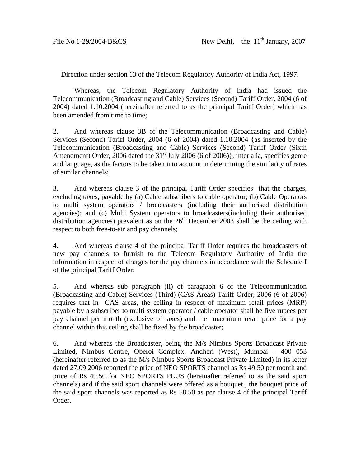## Direction under section 13 of the Telecom Regulatory Authority of India Act, 1997.

 Whereas, the Telecom Regulatory Authority of India had issued the Telecommunication (Broadcasting and Cable) Services (Second) Tariff Order, 2004 (6 of 2004) dated 1.10.2004 (hereinafter referred to as the principal Tariff Order) which has been amended from time to time;

2. And whereas clause 3B of the Telecommunication (Broadcasting and Cable) Services (Second) Tariff Order, 2004 (6 of 2004) dated 1.10.2004 {as inserted by the Telecommunication (Broadcasting and Cable) Services (Second) Tariff Order (Sixth Amendment) Order, 2006 dated the  $31<sup>st</sup>$  July 2006 (6 of 2006)}, inter alia, specifies genre and language, as the factors to be taken into account in determining the similarity of rates of similar channels;

3. And whereas clause 3 of the principal Tariff Order specifies that the charges, excluding taxes, payable by (a) Cable subscribers to cable operator; (b) Cable Operators to multi system operators / broadcasters (including their authorised distribution agencies); and (c) Multi System operators to broadcasters(including their authorised distribution agencies) prevalent as on the  $26<sup>th</sup>$  December 2003 shall be the ceiling with respect to both free-to-air and pay channels;

4. And whereas clause 4 of the principal Tariff Order requires the broadcasters of new pay channels to furnish to the Telecom Regulatory Authority of India the information in respect of charges for the pay channels in accordance with the Schedule I of the principal Tariff Order;

5. And whereas sub paragraph (ii) of paragraph 6 of the Telecommunication (Broadcasting and Cable) Services (Third) (CAS Areas) Tariff Order, 2006 (6 of 2006) requires that in CAS areas, the ceiling in respect of maximum retail prices (MRP) payable by a subscriber to multi system operator / cable operator shall be five rupees per pay channel per month (exclusive of taxes) and the maximum retail price for a pay channel within this ceiling shall be fixed by the broadcaster;

6. And whereas the Broadcaster, being the M/s Nimbus Sports Broadcast Private Limited, Nimbus Centre, Oberoi Complex, Andheri (West), Mumbai – 400 053 (hereinafter referred to as the M/s Nimbus Sports Broadcast Private Limited) in its letter dated 27.09.2006 reported the price of NEO SPORTS channel as Rs 49.50 per month and price of Rs 49.50 for NEO SPORTS PLUS (hereinafter referred to as the said sport channels) and if the said sport channels were offered as a bouquet , the bouquet price of the said sport channels was reported as Rs 58.50 as per clause 4 of the principal Tariff Order.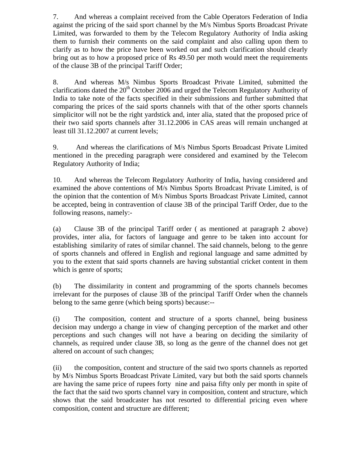7. And whereas a complaint received from the Cable Operators Federation of India against the pricing of the said sport channel by the M/s Nimbus Sports Broadcast Private Limited, was forwarded to them by the Telecom Regulatory Authority of India asking them to furnish their comments on the said complaint and also calling upon them to clarify as to how the price have been worked out and such clarification should clearly bring out as to how a proposed price of Rs 49.50 per moth would meet the requirements of the clause 3B of the principal Tariff Order;

8. And whereas M/s Nimbus Sports Broadcast Private Limited, submitted the clarifications dated the  $20<sup>th</sup>$  October 2006 and urged the Telecom Regulatory Authority of India to take note of the facts specified in their submissions and further submitted that comparing the prices of the said sports channels with that of the other sports channels simplicitor will not be the right yardstick and, inter alia, stated that the proposed price of their two said sports channels after 31.12.2006 in CAS areas will remain unchanged at least till 31.12.2007 at current levels;

9. And whereas the clarifications of M/s Nimbus Sports Broadcast Private Limited mentioned in the preceding paragraph were considered and examined by the Telecom Regulatory Authority of India;

10. And whereas the Telecom Regulatory Authority of India, having considered and examined the above contentions of M/s Nimbus Sports Broadcast Private Limited, is of the opinion that the contention of M/s Nimbus Sports Broadcast Private Limited, cannot be accepted, being in contravention of clause 3B of the principal Tariff Order, due to the following reasons, namely:-

(a) Clause 3B of the principal Tariff order ( as mentioned at paragraph 2 above) provides, inter alia, for factors of language and genre to be taken into account for establishing similarity of rates of similar channel. The said channels, belong to the genre of sports channels and offered in English and regional language and same admitted by you to the extent that said sports channels are having substantial cricket content in them which is genre of sports;

(b) The dissimilarity in content and programming of the sports channels becomes irrelevant for the purposes of clause 3B of the principal Tariff Order when the channels belong to the same genre (which being sports) because:--

(i) The composition, content and structure of a sports channel, being business decision may undergo a change in view of changing perception of the market and other perceptions and such changes will not have a bearing on deciding the similarity of channels, as required under clause 3B, so long as the genre of the channel does not get altered on account of such changes;

(ii) the composition, content and structure of the said two sports channels as reported by M/s Nimbus Sports Broadcast Private Limited, vary but both the said sports channels are having the same price of rupees forty nine and paisa fifty only per month in spite of the fact that the said two sports channel vary in composition, content and structure, which shows that the said broadcaster has not resorted to differential pricing even where composition, content and structure are different;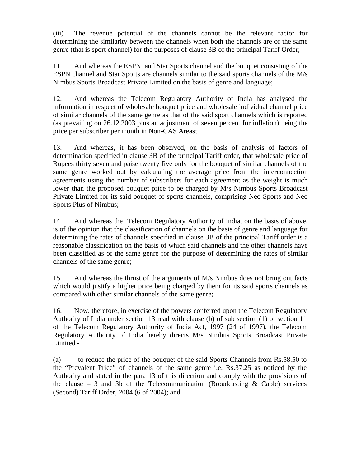(iii) The revenue potential of the channels cannot be the relevant factor for determining the similarity between the channels when both the channels are of the same genre (that is sport channel) for the purposes of clause 3B of the principal Tariff Order;

11. And whereas the ESPN and Star Sports channel and the bouquet consisting of the ESPN channel and Star Sports are channels similar to the said sports channels of the M/s Nimbus Sports Broadcast Private Limited on the basis of genre and language;

12. And whereas the Telecom Regulatory Authority of India has analysed the information in respect of wholesale bouquet price and wholesale individual channel price of similar channels of the same genre as that of the said sport channels which is reported (as prevailing on 26.12.2003 plus an adjustment of seven percent for inflation) being the price per subscriber per month in Non-CAS Areas;

13. And whereas, it has been observed, on the basis of analysis of factors of determination specified in clause 3B of the principal Tariff order, that wholesale price of Rupees thirty seven and paise twenty five only for the bouquet of similar channels of the same genre worked out by calculating the average price from the interconnection agreements using the number of subscribers for each agreement as the weight is much lower than the proposed bouquet price to be charged by M/s Nimbus Sports Broadcast Private Limited for its said bouquet of sports channels, comprising Neo Sports and Neo Sports Plus of Nimbus;

14. And whereas the Telecom Regulatory Authority of India, on the basis of above, is of the opinion that the classification of channels on the basis of genre and language for determining the rates of channels specified in clause 3B of the principal Tariff order is a reasonable classification on the basis of which said channels and the other channels have been classified as of the same genre for the purpose of determining the rates of similar channels of the same genre;

15. And whereas the thrust of the arguments of M/s Nimbus does not bring out facts which would justify a higher price being charged by them for its said sports channels as compared with other similar channels of the same genre;

16. Now, therefore, in exercise of the powers conferred upon the Telecom Regulatory Authority of India under section 13 read with clause (b) of sub section (1) of section 11 of the Telecom Regulatory Authority of India Act, 1997 (24 of 1997), the Telecom Regulatory Authority of India hereby directs M/s Nimbus Sports Broadcast Private Limited -

(a) to reduce the price of the bouquet of the said Sports Channels from Rs.58.50 to the "Prevalent Price" of channels of the same genre i.e. Rs.37.25 as noticed by the Authority and stated in the para 13 of this direction and comply with the provisions of the clause – 3 and 3b of the Telecommunication (Broadcasting  $\&$  Cable) services (Second) Tariff Order, 2004 (6 of 2004); and